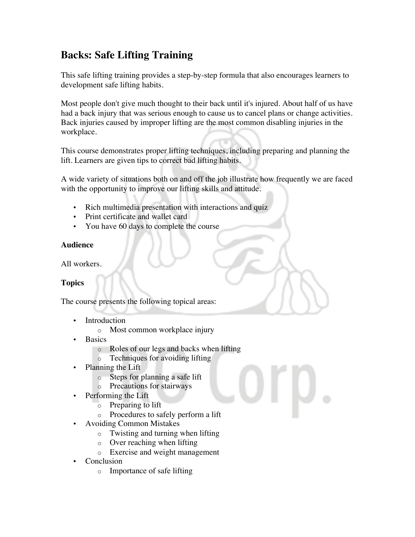# **Backs: Safe Lifting Training**

This safe lifting training provides a step-by-step formula that also encourages learners to development safe lifting habits.

Most people don't give much thought to their back until it's injured. About half of us have had a back injury that was serious enough to cause us to cancel plans or change activities. Back injuries caused by improper lifting are the most common disabling injuries in the workplace.

This course demonstrates proper lifting techniques, including preparing and planning the lift. Learners are given tips to correct bad lifting habits.

A wide variety of situations both on and off the job illustrate how frequently we are faced with the opportunity to improve our lifting skills and attitude.

- Rich multimedia presentation with interactions and quiz
- Print certificate and wallet card
- You have 60 days to complete the course

## **Audience**

All workers.

# **Topics**

The course presents the following topical areas:

- **Introduction** 
	- o Most common workplace injury
- **Basics** 
	- o Roles of our legs and backs when lifting
	- o Techniques for avoiding lifting
- Planning the Lift
	- o Steps for planning a safe lift
	- o Precautions for stairways
- Performing the Lift
	- o Preparing to lift
	- o Procedures to safely perform a lift
- Avoiding Common Mistakes
	- o Twisting and turning when lifting
	- o Over reaching when lifting
	- o Exercise and weight management
- Conclusion
	- o Importance of safe lifting